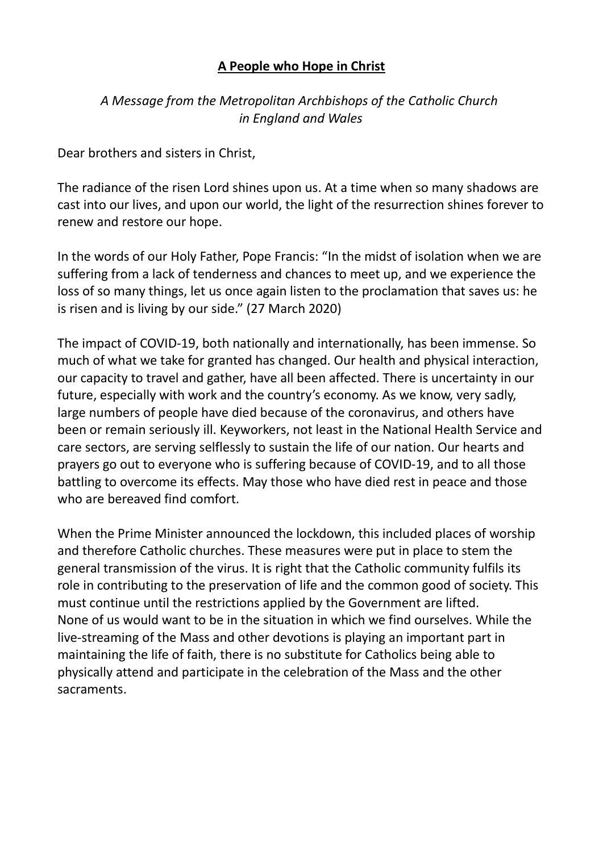## A People who Hope in Christ

## A Message from the Metropolitan Archbishops of the Catholic Church in England and Wales

Dear brothers and sisters in Christ,

The radiance of the risen Lord shines upon us. At a time when so many shadows are cast into our lives, and upon our world, the light of the resurrection shines forever to renew and restore our hope.

In the words of our Holy Father, Pope Francis: "In the midst of isolation when we are suffering from a lack of tenderness and chances to meet up, and we experience the loss of so many things, let us once again listen to the proclamation that saves us: he is risen and is living by our side." (27 March 2020)

The impact of COVID-19, both nationally and internationally, has been immense. So much of what we take for granted has changed. Our health and physical interaction, our capacity to travel and gather, have all been affected. There is uncertainty in our future, especially with work and the country's economy. As we know, very sadly, large numbers of people have died because of the coronavirus, and others have been or remain seriously ill. Keyworkers, not least in the National Health Service and care sectors, are serving selflessly to sustain the life of our nation. Our hearts and prayers go out to everyone who is suffering because of COVID-19, and to all those battling to overcome its effects. May those who have died rest in peace and those who are bereaved find comfort.

When the Prime Minister announced the lockdown, this included places of worship and therefore Catholic churches. These measures were put in place to stem the general transmission of the virus. It is right that the Catholic community fulfils its role in contributing to the preservation of life and the common good of society. This must continue until the restrictions applied by the Government are lifted. None of us would want to be in the situation in which we find ourselves. While the live-streaming of the Mass and other devotions is playing an important part in maintaining the life of faith, there is no substitute for Catholics being able to physically attend and participate in the celebration of the Mass and the other sacraments.